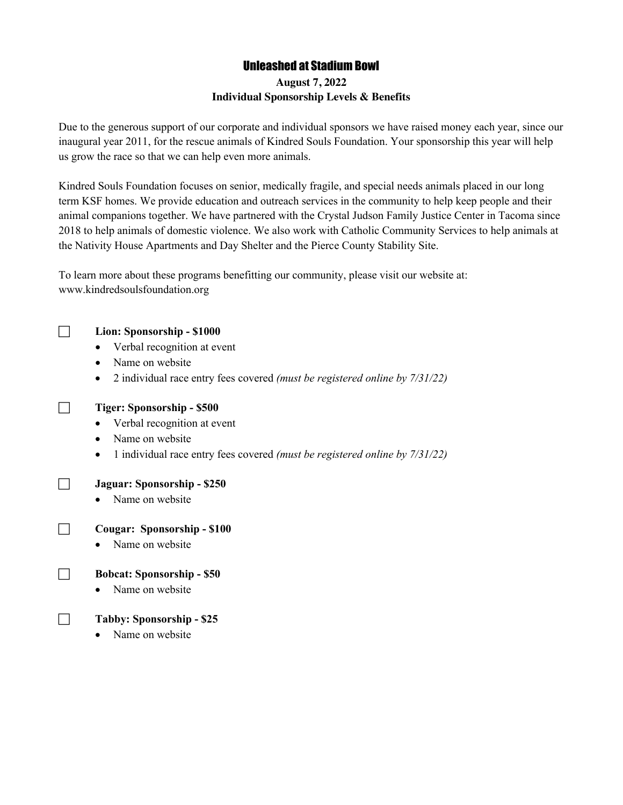# Unleashed at Stadium Bowl

# **August 7, 2022 Individual Sponsorship Levels & Benefits**

Due to the generous support of our corporate and individual sponsors we have raised money each year, since our inaugural year 2011, for the rescue animals of Kindred Souls Foundation. Your sponsorship this year will help us grow the race so that we can help even more animals.

Kindred Souls Foundation focuses on senior, medically fragile, and special needs animals placed in our long term KSF homes. We provide education and outreach services in the community to help keep people and their animal companions together. We have partnered with the Crystal Judson Family Justice Center in Tacoma since 2018 to help animals of domestic violence. We also work with Catholic Community Services to help animals at the Nativity House Apartments and Day Shelter and the Pierce County Stability Site.

To learn more about these programs benefitting our community, please visit our website at: www.kindredsoulsfoundation.org



### c **Lion: Sponsorship - \$1000**

- Verbal recognition at event
- Name on website
- 2 individual race entry fees covered *(must be registered online by 7/31/22)*



# **Tiger: Sponsorship - \$500**

- Verbal recognition at event
- Name on website
- 1 individual race entry fees covered *(must be registered online by 7/31/22)*

### c **Jaguar: Sponsorship - \$250**

• Name on website

#### c **Cougar: Sponsorship - \$100**

• Name on website

### c **Bobcat: Sponsorship - \$50**

• Name on website

### c **Tabby: Sponsorship - \$25**

• Name on website